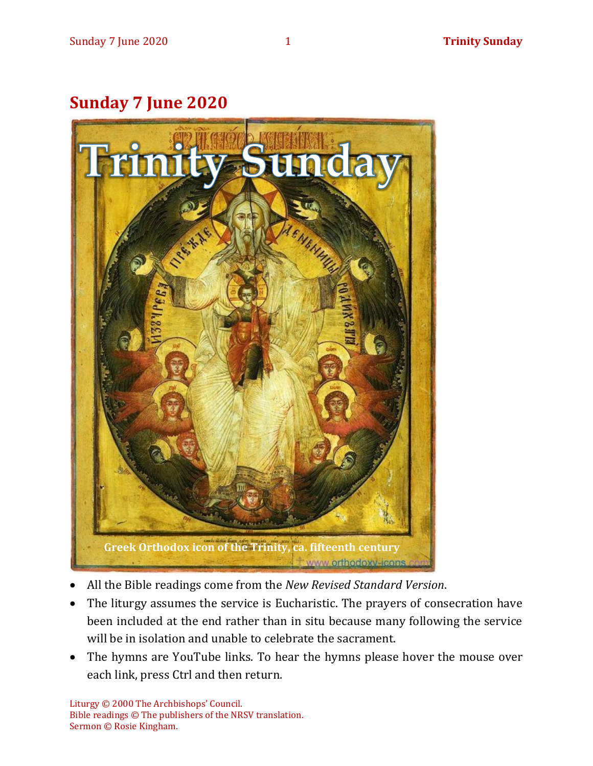# **Sunday 7 June 2020**



- All the Bible readings come from the *New Revised Standard Version*.
- The liturgy assumes the service is Eucharistic. The prayers of consecration have been included at the end rather than in situ because many following the service will be in isolation and unable to celebrate the sacrament.
- The hymns are YouTube links. To hear the hymns please hover the mouse over each link, press Ctrl and then return.

Liturgy © 2000 The Archbishops' Council. Bible readings © The publishers of the NRSV translation. Sermon © Rosie Kingham.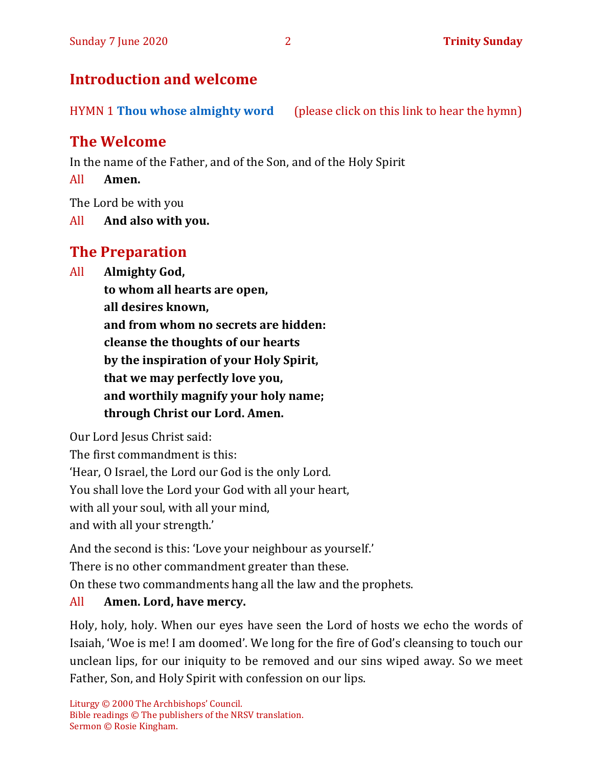# **Introduction and welcome**

HYMN 1 **[Thou whose almighty word](https://www.youtube.com/watch?v=YNfR3r1WuEY)** (please click on this link to hear the hymn)

# **The Welcome**

In the name of the Father, and of the Son, and of the Holy Spirit

All **Amen.**

The Lord be with you

All **And also with you.**

# **The Preparation**

All **Almighty God,**

**to whom all hearts are open,**

**all desires known,**

**and from whom no secrets are hidden:**

**cleanse the thoughts of our hearts**

**by the inspiration of your Holy Spirit,**

**that we may perfectly love you,**

**and worthily magnify your holy name;**

**through Christ our Lord. Amen.**

Our Lord Jesus Christ said:

The first commandment is this:

'Hear, O Israel, the Lord our God is the only Lord.

You shall love the Lord your God with all your heart,

with all your soul, with all your mind,

and with all your strength.'

And the second is this: 'Love your neighbour as yourself.'

There is no other commandment greater than these.

On these two commandments hang all the law and the prophets.

#### All **Amen. Lord, have mercy.**

Holy, holy, holy. When our eyes have seen the Lord of hosts we echo the words of Isaiah, 'Woe is me! I am doomed'. We long for the fire of God's cleansing to touch our unclean lips, for our iniquity to be removed and our sins wiped away. So we meet Father, Son, and Holy Spirit with confession on our lips.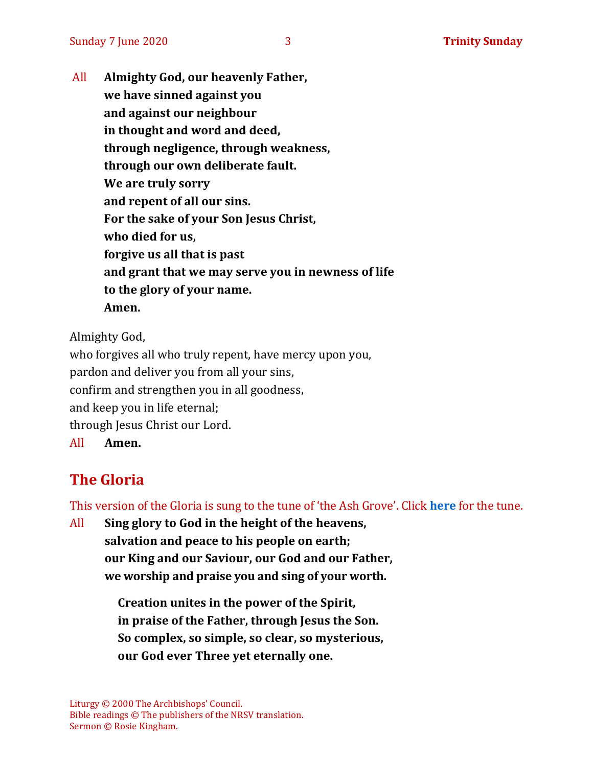All **Almighty God, our heavenly Father, we have sinned against you and against our neighbour in thought and word and deed, through negligence, through weakness, through our own deliberate fault. We are truly sorry and repent of all our sins. For the sake of your Son Jesus Christ, who died for us, forgive us all that is past and grant that we may serve you in newness of life to the glory of your name. Amen.**

Almighty God,

who forgives all who truly repent, have mercy upon you, pardon and deliver you from all your sins, confirm and strengthen you in all goodness, and keep you in life eternal; through Jesus Christ our Lord. All **Amen.**

# **The Gloria**

This version of the Gloria is sung to the tune of 'the Ash Grove'. Click **[here](https://www.youtube.com/watch?v=AgSDwFodHw8)** for the tune.

All **Sing glory to God in the height of the heavens, salvation and peace to his people on earth; our King and our Saviour, our God and our Father, we worship and praise you and sing of your worth.**

> **Creation unites in the power of the Spirit, in praise of the Father, through Jesus the Son. So complex, so simple, so clear, so mysterious, our God ever Three yet eternally one.**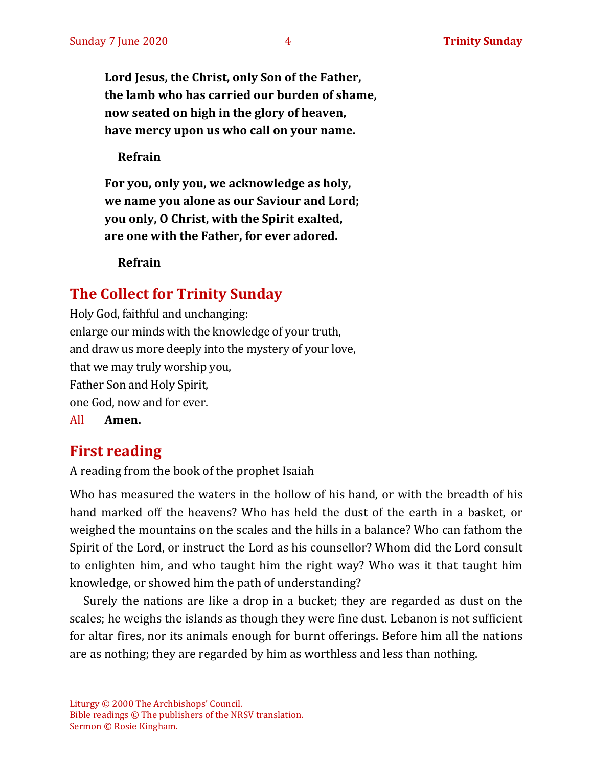**Lord Jesus, the Christ, only Son of the Father, the lamb who has carried our burden of shame, now seated on high in the glory of heaven, have mercy upon us who call on your name.**

**Refrain**

**For you, only you, we acknowledge as holy, we name you alone as our Saviour and Lord; you only, O Christ, with the Spirit exalted, are one with the Father, for ever adored.**

**Refrain**

#### **The Collect for Trinity Sunday**

Holy God, faithful and unchanging: enlarge our minds with the knowledge of your truth, and draw us more deeply into the mystery of your love, that we may truly worship you, Father Son and Holy Spirit, one God, now and for ever.

All **Amen.**

#### **First reading**

A reading from the book of the prophet Isaiah

Who has measured the waters in the hollow of his hand, or with the breadth of his hand marked off the heavens? Who has held the dust of the earth in a basket, or weighed the mountains on the scales and the hills in a balance? Who can fathom the Spirit of the Lord, or instruct the Lord as his counsellor? Whom did the Lord consult to enlighten him, and who taught him the right way? Who was it that taught him knowledge, or showed him the path of understanding?

Surely the nations are like a drop in a bucket; they are regarded as dust on the scales; he weighs the islands as though they were fine dust. Lebanon is not sufficient for altar fires, nor its animals enough for burnt offerings. Before him all the nations are as nothing; they are regarded by him as worthless and less than nothing.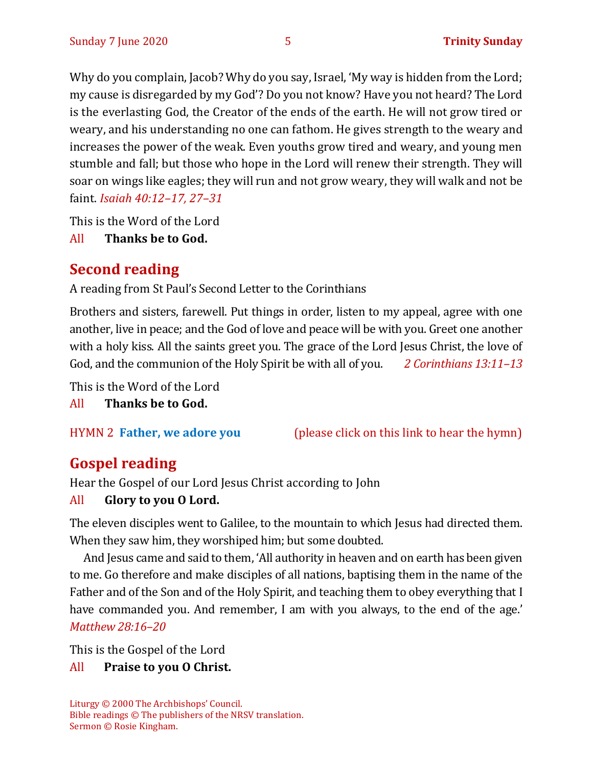Why do you complain, Jacob? Why do you say, Israel, 'My way is hidden from the Lord; my cause is disregarded by my God'? Do you not know? Have you not heard? The Lord is the everlasting God, the Creator of the ends of the earth. He will not grow tired or weary, and his understanding no one can fathom. He gives strength to the weary and increases the power of the weak. Even youths grow tired and weary, and young men stumble and fall; but those who hope in the Lord will renew their strength. They will soar on wings like eagles; they will run and not grow weary, they will walk and not be faint. *Isaiah 40:12–17, 27–31*

This is the Word of the Lord

All **Thanks be to God.**

# **Second reading**

A reading from St Paul's Second Letter to the Corinthians

Brothers and sisters, farewell. Put things in order, listen to my appeal, agree with one another, live in peace; and the God of love and peace will be with you. Greet one another with a holy kiss. All the saints greet you. The grace of the Lord Jesus Christ, the love of God, and the communion of the Holy Spirit be with all of you. *2 Corinthians 13:11–13*

This is the Word of the Lord

All **Thanks be to God.**

HYMN 2 **[Father, we adore you](https://www.youtube.com/watch?v=9bdid2HFk0c)** (please click on this link to hear the hymn)

# **Gospel reading**

Hear the Gospel of our Lord Jesus Christ according to John

#### All **Glory to you O Lord.**

The eleven disciples went to Galilee, to the mountain to which Jesus had directed them. When they saw him, they worshiped him; but some doubted.

And Jesus came and said to them, 'All authority in heaven and on earth has been given to me. Go therefore and make disciples of all nations, baptising them in the name of the Father and of the Son and of the Holy Spirit, and teaching them to obey everything that I have commanded you. And remember, I am with you always, to the end of the age.' *Matthew 28:16–20*

This is the Gospel of the Lord

#### All **Praise to you O Christ.**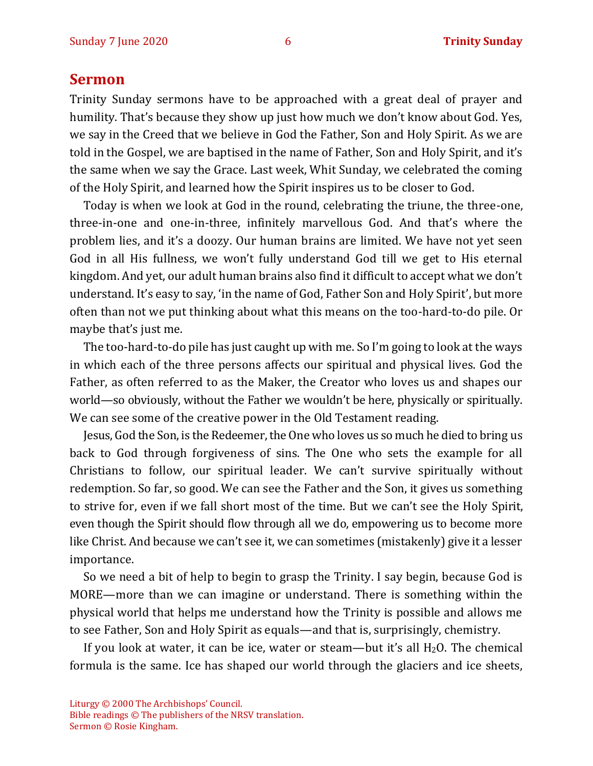#### **Sermon**

Trinity Sunday sermons have to be approached with a great deal of prayer and humility. That's because they show up just how much we don't know about God. Yes, we say in the Creed that we believe in God the Father, Son and Holy Spirit. As we are told in the Gospel, we are baptised in the name of Father, Son and Holy Spirit, and it's the same when we say the Grace. Last week, Whit Sunday, we celebrated the coming of the Holy Spirit, and learned how the Spirit inspires us to be closer to God.

Today is when we look at God in the round, celebrating the triune, the three-one, three-in-one and one-in-three, infinitely marvellous God. And that's where the problem lies, and it's a doozy. Our human brains are limited. We have not yet seen God in all His fullness, we won't fully understand God till we get to His eternal kingdom. And yet, our adult human brains also find it difficult to accept what we don't understand. It's easy to say, 'in the name of God, Father Son and Holy Spirit', but more often than not we put thinking about what this means on the too-hard-to-do pile. Or maybe that's just me.

The too-hard-to-do pile has just caught up with me. So I'm going to look at the ways in which each of the three persons affects our spiritual and physical lives. God the Father, as often referred to as the Maker, the Creator who loves us and shapes our world—so obviously, without the Father we wouldn't be here, physically or spiritually. We can see some of the creative power in the Old Testament reading.

Jesus, God the Son, is the Redeemer, the One who loves us so much he died to bring us back to God through forgiveness of sins. The One who sets the example for all Christians to follow, our spiritual leader. We can't survive spiritually without redemption. So far, so good. We can see the Father and the Son, it gives us something to strive for, even if we fall short most of the time. But we can't see the Holy Spirit, even though the Spirit should flow through all we do, empowering us to become more like Christ. And because we can't see it, we can sometimes (mistakenly) give it a lesser importance.

So we need a bit of help to begin to grasp the Trinity. I say begin, because God is MORE—more than we can imagine or understand. There is something within the physical world that helps me understand how the Trinity is possible and allows me to see Father, Son and Holy Spirit as equals—and that is, surprisingly, chemistry.

If you look at water, it can be ice, water or steam—but it's all  $H_2O$ . The chemical formula is the same. Ice has shaped our world through the glaciers and ice sheets,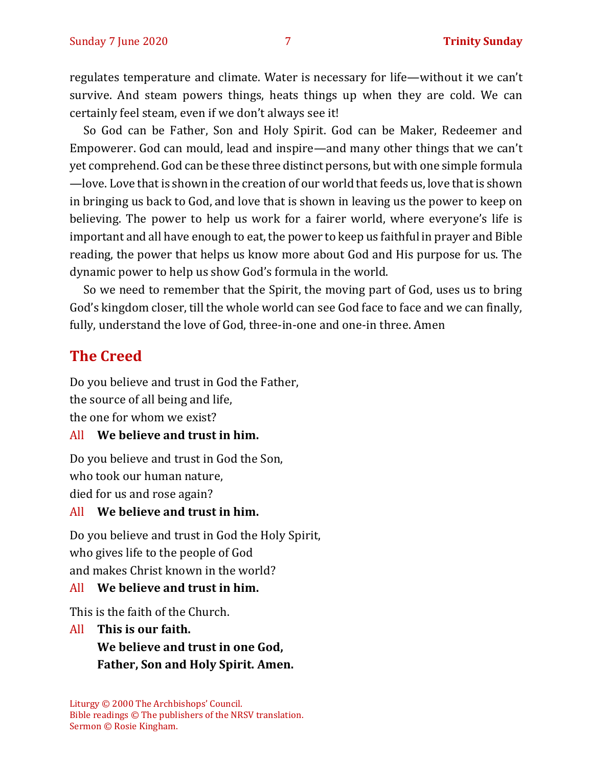regulates temperature and climate. Water is necessary for life—without it we can't survive. And steam powers things, heats things up when they are cold. We can certainly feel steam, even if we don't always see it!

So God can be Father, Son and Holy Spirit. God can be Maker, Redeemer and Empowerer. God can mould, lead and inspire—and many other things that we can't yet comprehend. God can be these three distinct persons, but with one simple formula —love. Love that is shown in the creation of our world that feeds us, love that is shown in bringing us back to God, and love that is shown in leaving us the power to keep on believing. The power to help us work for a fairer world, where everyone's life is important and all have enough to eat, the power to keep us faithful in prayer and Bible reading, the power that helps us know more about God and His purpose for us. The dynamic power to help us show God's formula in the world.

So we need to remember that the Spirit, the moving part of God, uses us to bring God's kingdom closer, till the whole world can see God face to face and we can finally, fully, understand the love of God, three-in-one and one-in three. Amen

# **The Creed**

Do you believe and trust in God the Father, the source of all being and life, the one for whom we exist?

#### All **We believe and trust in him.**

Do you believe and trust in God the Son, who took our human nature, died for us and rose again?

#### All **We believe and trust in him.**

Do you believe and trust in God the Holy Spirit, who gives life to the people of God and makes Christ known in the world?

#### All **We believe and trust in him.**

This is the faith of the Church.

All **This is our faith. We believe and trust in one God, Father, Son and Holy Spirit. Amen.**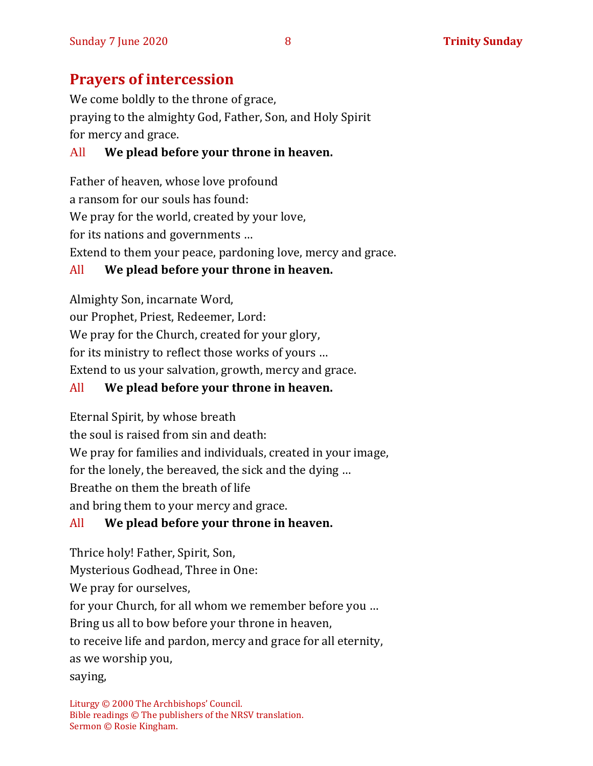# **Prayers of intercession**

We come boldly to the throne of grace, praying to the almighty God, Father, Son, and Holy Spirit for mercy and grace.

#### All **We plead before your throne in heaven.**

Father of heaven, whose love profound a ransom for our souls has found: We pray for the world, created by your love, for its nations and governments … Extend to them your peace, pardoning love, mercy and grace.

#### All **We plead before your throne in heaven.**

Almighty Son, incarnate Word, our Prophet, Priest, Redeemer, Lord: We pray for the Church, created for your glory, for its ministry to reflect those works of yours … Extend to us your salvation, growth, mercy and grace.

#### All **We plead before your throne in heaven.**

Eternal Spirit, by whose breath

the soul is raised from sin and death:

We pray for families and individuals, created in your image,

for the lonely, the bereaved, the sick and the dying …

Breathe on them the breath of life

and bring them to your mercy and grace.

#### All **We plead before your throne in heaven.**

Thrice holy! Father, Spirit, Son, Mysterious Godhead, Three in One: We pray for ourselves, for your Church, for all whom we remember before you … Bring us all to bow before your throne in heaven, to receive life and pardon, mercy and grace for all eternity, as we worship you, saying,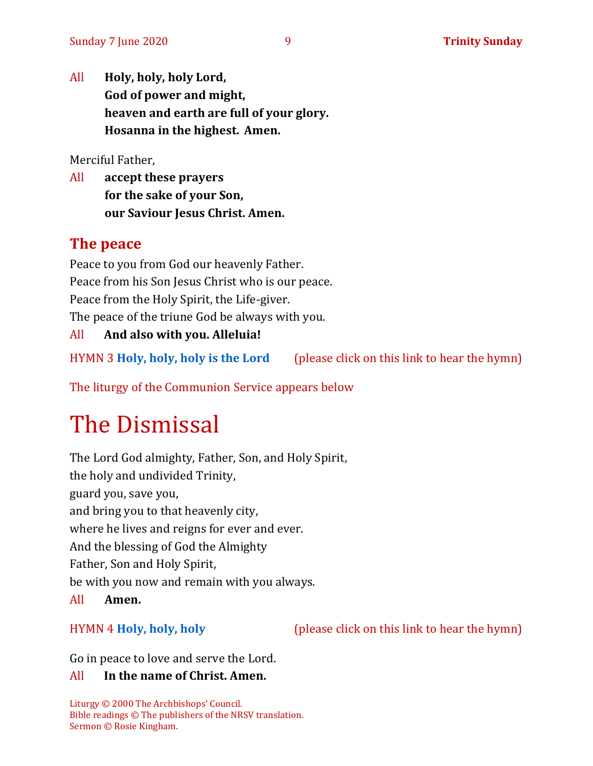All **Holy, holy, holy Lord, God of power and might, heaven and earth are full of your glory. Hosanna in the highest. Amen.**

Merciful Father,

All **accept these prayers for the sake of your Son, our Saviour Jesus Christ. Amen.**

#### **The peace**

Peace to you from God our heavenly Father. Peace from his Son Jesus Christ who is our peace. Peace from the Holy Spirit, the Life-giver. The peace of the triune God be always with you. All **And also with you. Alleluia!**

HYMN 3 **[Holy, holy, holy](https://www.youtube.com/watch?v=xmUOnZLv4og) is the Lord** (please click on this link to hear the hymn)

The liturgy of the Communion Service appears below

# The Dismissal

The Lord God almighty, Father, Son, and Holy Spirit, the holy and undivided Trinity, guard you, save you, and bring you to that heavenly city, where he lives and reigns for ever and ever. And the blessing of God the Almighty Father, Son and Holy Spirit, be with you now and remain with you always. All **Amen.**

HYMN 4 **[Holy, holy, holy](https://www.youtube.com/watch?v=0SHDNs7Dt5M)** (please click on this link to hear the hymn)

Go in peace to love and serve the Lord.

#### All **In the name of Christ. Amen.**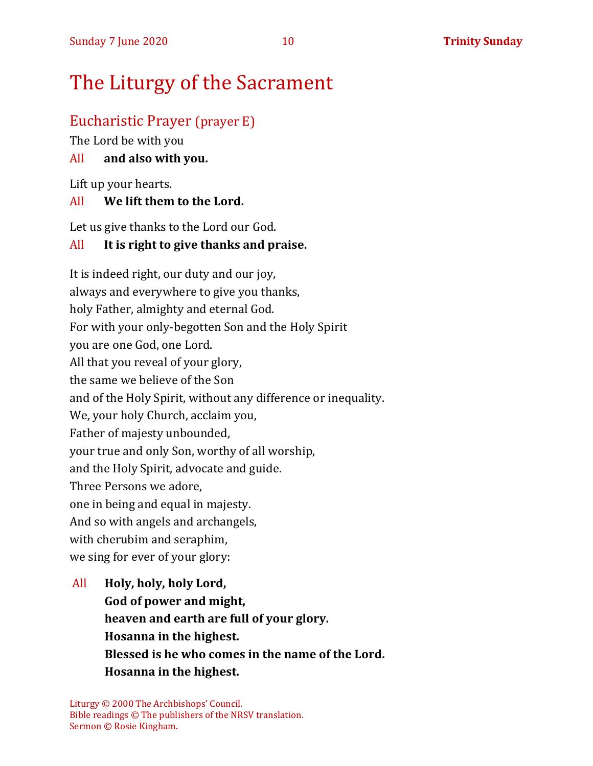# The Liturgy of the Sacrament

#### Eucharistic Prayer (prayer E)

The Lord be with you

#### All **and also with you.**

Lift up your hearts.

#### All **We lift them to the Lord.**

Let us give thanks to the Lord our God.

#### All **It is right to give thanks and praise.**

It is indeed right, our duty and our joy, always and everywhere to give you thanks, holy Father, almighty and eternal God. For with your only-begotten Son and the Holy Spirit you are one God, one Lord. All that you reveal of your glory, the same we believe of the Son and of the Holy Spirit, without any difference or inequality. We, your holy Church, acclaim you, Father of majesty unbounded, your true and only Son, worthy of all worship, and the Holy Spirit, advocate and guide. Three Persons we adore, one in being and equal in majesty. And so with angels and archangels, with cherubim and seraphim, we sing for ever of your glory:

All **Holy, holy, holy Lord, God of power and might, heaven and earth are full of your glory. Hosanna in the highest. Blessed is he who comes in the name of the Lord. Hosanna in the highest.**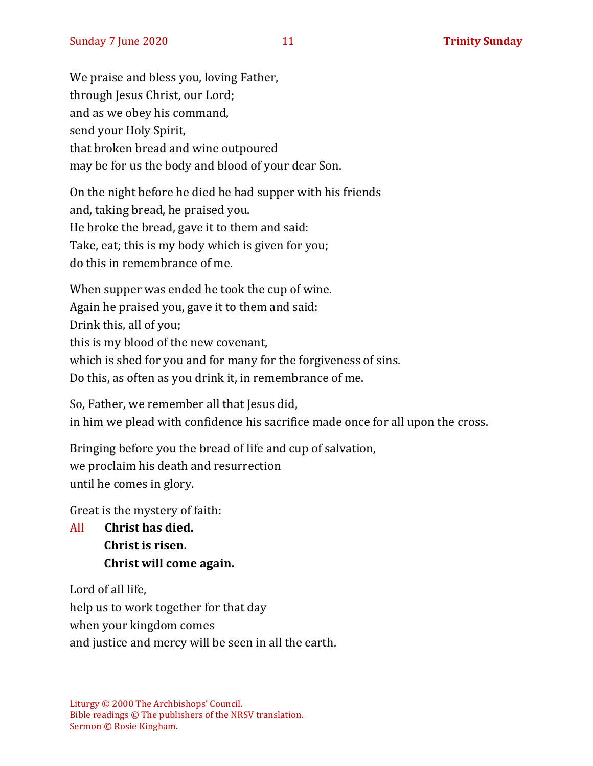We praise and bless you, loving Father, through Jesus Christ, our Lord; and as we obey his command, send your Holy Spirit, that broken bread and wine outpoured may be for us the body and blood of your dear Son.

On the night before he died he had supper with his friends and, taking bread, he praised you. He broke the bread, gave it to them and said: Take, eat; this is my body which is given for you; do this in remembrance of me.

When supper was ended he took the cup of wine. Again he praised you, gave it to them and said: Drink this, all of you; this is my blood of the new covenant, which is shed for you and for many for the forgiveness of sins. Do this, as often as you drink it, in remembrance of me.

So, Father, we remember all that Jesus did, in him we plead with confidence his sacrifice made once for all upon the cross.

Bringing before you the bread of life and cup of salvation, we proclaim his death and resurrection until he comes in glory.

Great is the mystery of faith:

All **Christ has died. Christ is risen. Christ will come again.**

Lord of all life,

help us to work together for that day

when your kingdom comes

and justice and mercy will be seen in all the earth.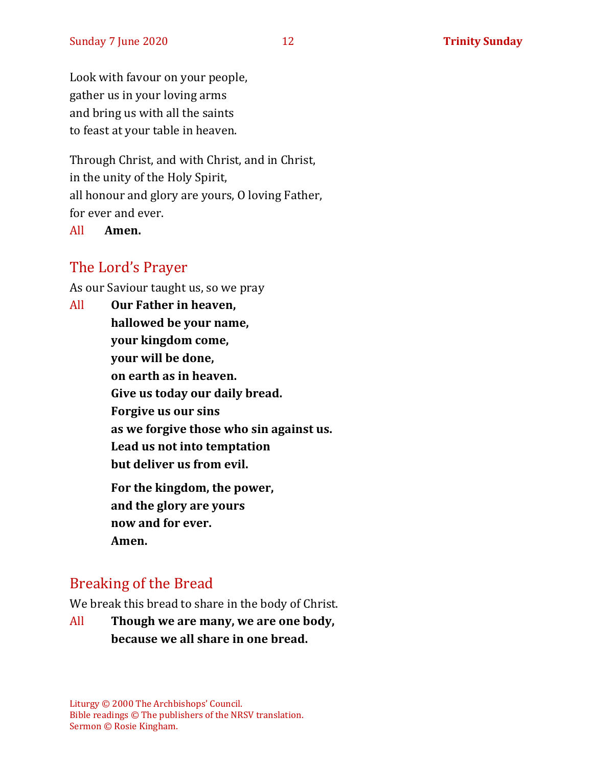Look with favour on your people, gather us in your loving arms and bring us with all the saints to feast at your table in heaven.

Through Christ, and with Christ, and in Christ, in the unity of the Holy Spirit, all honour and glory are yours, O loving Father, for ever and ever.

All **Amen.**

#### The Lord's Prayer

As our Saviour taught us, so we pray

All **Our Father in heaven, hallowed be your name, your kingdom come, your will be done, on earth as in heaven. Give us today our daily bread. Forgive us our sins as we forgive those who sin against us. Lead us not into temptation but deliver us from evil. For the kingdom, the power, and the glory are yours now and for ever. Amen.**

#### Breaking of the Bread

We break this bread to share in the body of Christ.

All **Though we are many, we are one body, because we all share in one bread.**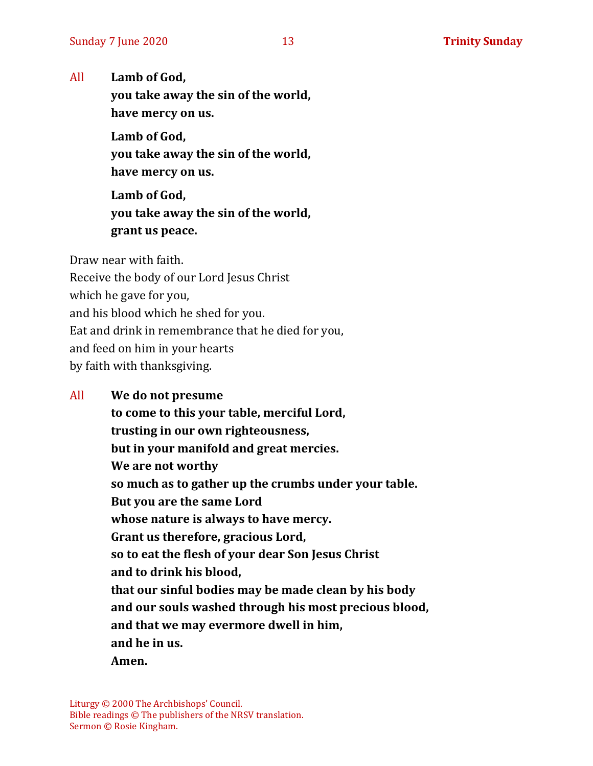All **Lamb of God,**

**you take away the sin of the world, have mercy on us.**

**Lamb of God, you take away the sin of the world, have mercy on us.**

**Lamb of God, you take away the sin of the world, grant us peace.**

Draw near with faith.

Receive the body of our Lord Jesus Christ

which he gave for you,

and his blood which he shed for you.

Eat and drink in remembrance that he died for you,

and feed on him in your hearts

by faith with thanksgiving.

#### All **We do not presume**

**to come to this your table, merciful Lord, trusting in our own righteousness, but in your manifold and great mercies. We are not worthy so much as to gather up the crumbs under your table. But you are the same Lord whose nature is always to have mercy. Grant us therefore, gracious Lord, so to eat the flesh of your dear Son Jesus Christ and to drink his blood, that our sinful bodies may be made clean by his body and our souls washed through his most precious blood, and that we may evermore dwell in him, and he in us. Amen.**